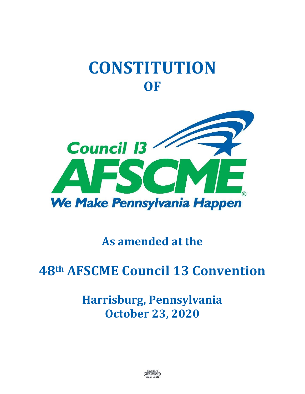# **CONSTITUTION OF**



## **As amended at the**

# **48th AFSCME Council 13 Convention**

## **Harrisburg, Pennsylvania October 23, 2020**

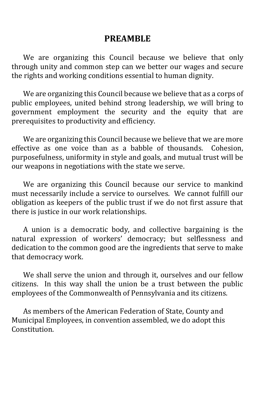#### **PREAMBLE**

We are organizing this Council because we believe that only through unity and common step can we better our wages and secure the rights and working conditions essential to human dignity.

We are organizing this Council because we believe that as a corps of public employees, united behind strong leadership, we will bring to government employment the security and the equity that are prerequisites to productivity and efficiency.

We are organizing this Council because we believe that we are more effective as one voice than as a babble of thousands. Cohesion, purposefulness, uniformity in style and goals, and mutual trust will be our weapons in negotiations with the state we serve.

We are organizing this Council because our service to mankind must necessarily include a service to ourselves. We cannot fulfill our obligation as keepers of the public trust if we do not first assure that there is justice in our work relationships.

A union is a democratic body, and collective bargaining is the natural expression of workers' democracy; but selflessness and dedication to the common good are the ingredients that serve to make that democracy work.

We shall serve the union and through it, ourselves and our fellow citizens. In this way shall the union be a trust between the public employees of the Commonwealth of Pennsylvania and its citizens.

As members of the American Federation of State, County and Municipal Employees, in convention assembled, we do adopt this Constitution.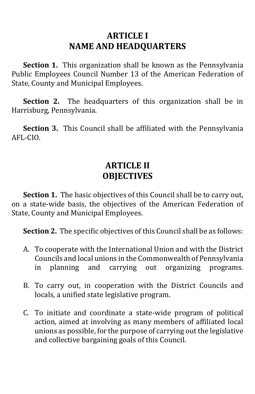#### **ARTICLE I NAME AND HEADQUARTERS**

**Section 1.** This organization shall be known as the Pennsylvania Public Employees Council Number 13 of the American Federation of State, County and Municipal Employees.

**Section 2.** The headquarters of this organization shall be in Harrisburg, Pennsylvania.

**Section 3.** This Council shall be affiliated with the Pennsylvania AFL-CIO.

#### **ARTICLE II OBJECTIVES**

**Section 1.** The basic objectives of this Council shall be to carry out, on a state-wide basis, the objectives of the American Federation of State, County and Municipal Employees.

**Section 2.** The specific objectives of this Council shall be as follows:

- A. To cooperate with the International Union and with the District Councils and local unions in the Commonwealth of Pennsylvania in planning and carrying out organizing programs.
- B. To carry out, in cooperation with the District Councils and locals, a unified state legislative program.
- C. To initiate and coordinate a state-wide program of political action, aimed at involving as many members of affiliated local unions as possible, for the purpose of carrying out the legislative and collective bargaining goals of this Council.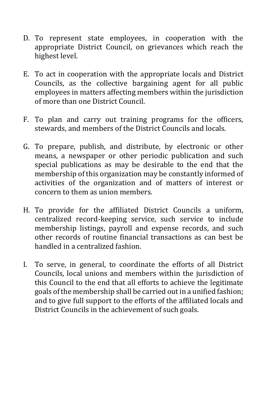- D. To represent state employees, in cooperation with the appropriate District Council, on grievances which reach the highest level.
- E. To act in cooperation with the appropriate locals and District Councils, as the collective bargaining agent for all public employees in matters affecting members within the jurisdiction of more than one District Council.
- F. To plan and carry out training programs for the officers, stewards, and members of the District Councils and locals.
- G. To prepare, publish, and distribute, by electronic or other means, a newspaper or other periodic publication and such special publications as may be desirable to the end that the membership of this organization may be constantly informed of activities of the organization and of matters of interest or concern to them as union members.
- H. To provide for the affiliated District Councils a uniform, centralized record-keeping service, such service to include membership listings, payroll and expense records, and such other records of routine financial transactions as can best be handled in a centralized fashion.
- I. To serve, in general, to coordinate the efforts of all District Councils, local unions and members within the jurisdiction of this Council to the end that all efforts to achieve the legitimate goals of the membership shall be carried out in a unified fashion; and to give full support to the efforts of the affiliated locals and District Councils in the achievement of such goals.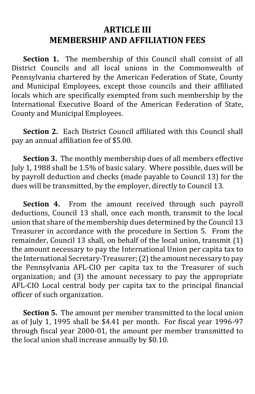#### **ARTICLE III MEMBERSHIP AND AFFILIATION FEES**

**Section 1.** The membership of this Council shall consist of all District Councils and all local unions in the Commonwealth of Pennsylvania chartered by the American Federation of State, County and Municipal Employees, except those councils and their affiliated locals which are specifically exempted from such membership by the International Executive Board of the American Federation of State, County and Municipal Employees.

**Section 2.** Each District Council affiliated with this Council shall pay an annual affiliation fee of \$5.00.

**Section 3.** The monthly membership dues of all members effective July 1, 1988 shall be 1.5% of basic salary. Where possible, dues will be by payroll deduction and checks (made payable to Council 13) for the dues will be transmitted, by the employer, directly to Council 13.

**Section 4.** From the amount received through such payroll deductions, Council 13 shall, once each month, transmit to the local union that share of the membership dues determined by the Council 13 Treasurer in accordance with the procedure in Section 5. From the remainder, Council 13 shall, on behalf of the local union, transmit (1) the amount necessary to pay the International Union per capita tax to the International Secretary-Treasurer; (2) the amount necessary to pay the Pennsylvania AFL-CIO per capita tax to the Treasurer of such organization; and (3) the amount necessary to pay the appropriate AFL-CIO Local central body per capita tax to the principal financial officer of such organization.

**Section 5.** The amount per member transmitted to the local union as of July 1, 1995 shall be \$4.41 per month. For fiscal year 1996-97 through fiscal year 2000-01, the amount per member transmitted to the local union shall increase annually by \$0.10.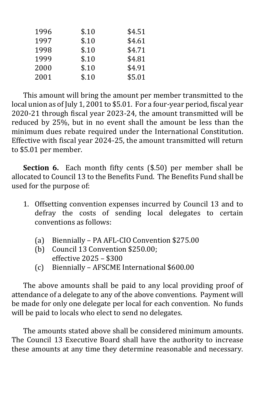| 1996 | \$.10 | \$4.51 |
|------|-------|--------|
| 1997 | \$.10 | \$4.61 |
| 1998 | \$.10 | \$4.71 |
| 1999 | \$.10 | \$4.81 |
| 2000 | \$.10 | \$4.91 |
| 2001 | \$.10 | \$5.01 |
|      |       |        |

This amount will bring the amount per member transmitted to the local union as of July 1, 2001 to \$5.01. For a four-year period, fiscal year 2020-21 through fiscal year 2023-24, the amount transmitted will be reduced by 25%, but in no event shall the amount be less than the minimum dues rebate required under the International Constitution. Effective with fiscal year 2024-25, the amount transmitted will return to \$5.01 per member.

**Section 6.** Each month fifty cents (\$.50) per member shall be allocated to Council 13 to the Benefits Fund. The Benefits Fund shall be used for the purpose of:

- 1. Offsetting convention expenses incurred by Council 13 and to defray the costs of sending local delegates to certain conventions as follows:
	- (a) Biennially PA AFL-CIO Convention \$275.00
	- (b) Council 13 Convention \$250.00; effective 2025 – \$300
	- (c) Biennially AFSCME International \$600.00

The above amounts shall be paid to any local providing proof of attendance of a delegate to any of the above conventions. Payment will be made for only one delegate per local for each convention. No funds will be paid to locals who elect to send no delegates.

The amounts stated above shall be considered minimum amounts. The Council 13 Executive Board shall have the authority to increase these amounts at any time they determine reasonable and necessary.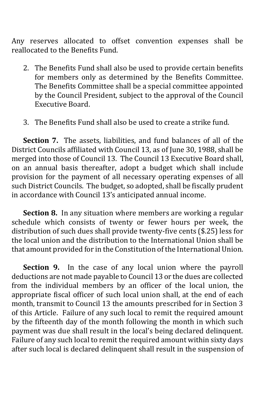Any reserves allocated to offset convention expenses shall be reallocated to the Benefits Fund.

- 2. The Benefits Fund shall also be used to provide certain benefits for members only as determined by the Benefits Committee. The Benefits Committee shall be a special committee appointed by the Council President, subject to the approval of the Council Executive Board.
- 3. The Benefits Fund shall also be used to create a strike fund.

**Section 7.** The assets, liabilities, and fund balances of all of the District Councils affiliated with Council 13, as of June 30, 1988, shall be merged into those of Council 13. The Council 13 Executive Board shall, on an annual basis thereafter, adopt a budget which shall include provision for the payment of all necessary operating expenses of all such District Councils. The budget, so adopted, shall be fiscally prudent in accordance with Council 13's anticipated annual income.

**Section 8.** In any situation where members are working a regular schedule which consists of twenty or fewer hours per week, the distribution of such dues shall provide twenty-five cents (\$.25) less for the local union and the distribution to the International Union shall be that amount provided for in the Constitution of the International Union.

**Section 9.** In the case of any local union where the payroll deductions are not made payable to Council 13 or the dues are collected from the individual members by an officer of the local union, the appropriate fiscal officer of such local union shall, at the end of each month, transmit to Council 13 the amounts prescribed for in Section 3 of this Article. Failure of any such local to remit the required amount by the fifteenth day of the month following the month in which such payment was due shall result in the local's being declared delinquent. Failure of any such local to remit the required amount within sixty days after such local is declared delinquent shall result in the suspension of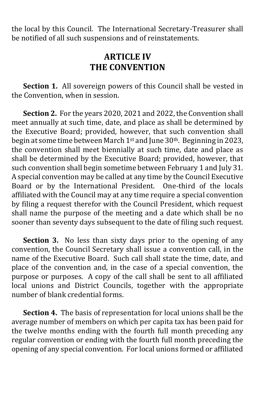the local by this Council. The International Secretary-Treasurer shall be notified of all such suspensions and of reinstatements.

#### **ARTICLE IV THE CONVENTION**

**Section 1.** All sovereign powers of this Council shall be vested in the Convention, when in session.

**Section 2.** For the years 2020, 2021 and 2022, the Convention shall meet annually at such time, date, and place as shall be determined by the Executive Board; provided, however, that such convention shall begin at some time between March  $1<sup>st</sup>$  and June 30<sup>th</sup>. Beginning in 2023, the convention shall meet biennially at such time, date and place as shall be determined by the Executive Board; provided, however, that such convention shall begin sometime between February 1 and July 31. A special convention may be called at any time by the Council Executive Board or by the International President. One-third of the locals affiliated with the Council may at any time require a special convention by filing a request therefor with the Council President, which request shall name the purpose of the meeting and a date which shall be no sooner than seventy days subsequent to the date of filing such request.

**Section 3.** No less than sixty days prior to the opening of any convention, the Council Secretary shall issue a convention call, in the name of the Executive Board. Such call shall state the time, date, and place of the convention and, in the case of a special convention, the purpose or purposes. A copy of the call shall be sent to all affiliated local unions and District Councils, together with the appropriate number of blank credential forms.

**Section 4.** The basis of representation for local unions shall be the average number of members on which per capita tax has been paid for the twelve months ending with the fourth full month preceding any regular convention or ending with the fourth full month preceding the opening of any special convention. For local unions formed or affiliated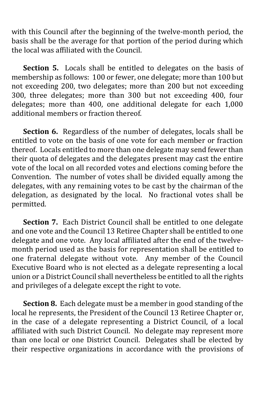with this Council after the beginning of the twelve-month period, the basis shall be the average for that portion of the period during which the local was affiliated with the Council.

**Section 5.** Locals shall be entitled to delegates on the basis of membership as follows: 100 or fewer, one delegate; more than 100 but not exceeding 200, two delegates; more than 200 but not exceeding 300, three delegates; more than 300 but not exceeding 400, four delegates; more than 400, one additional delegate for each 1,000 additional members or fraction thereof.

**Section 6.** Regardless of the number of delegates, locals shall be entitled to vote on the basis of one vote for each member or fraction thereof. Locals entitled to more than one delegate may send fewer than their quota of delegates and the delegates present may cast the entire vote of the local on all recorded votes and elections coming before the Convention. The number of votes shall be divided equally among the delegates, with any remaining votes to be cast by the chairman of the delegation, as designated by the local. No fractional votes shall be permitted.

**Section 7.** Each District Council shall be entitled to one delegate and one vote and the Council 13 Retiree Chapter shall be entitled to one delegate and one vote. Any local affiliated after the end of the twelvemonth period used as the basis for representation shall be entitled to one fraternal delegate without vote. Any member of the Council Executive Board who is not elected as a delegate representing a local union or a District Council shall nevertheless be entitled to all the rights and privileges of a delegate except the right to vote.

**Section 8.** Each delegate must be a member in good standing of the local he represents, the President of the Council 13 Retiree Chapter or, in the case of a delegate representing a District Council, of a local affiliated with such District Council. No delegate may represent more than one local or one District Council. Delegates shall be elected by their respective organizations in accordance with the provisions of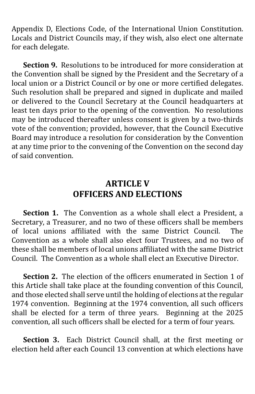Appendix D, Elections Code, of the International Union Constitution. Locals and District Councils may, if they wish, also elect one alternate for each delegate.

**Section 9.** Resolutions to be introduced for more consideration at the Convention shall be signed by the President and the Secretary of a local union or a District Council or by one or more certified delegates. Such resolution shall be prepared and signed in duplicate and mailed or delivered to the Council Secretary at the Council headquarters at least ten days prior to the opening of the convention. No resolutions may be introduced thereafter unless consent is given by a two-thirds vote of the convention; provided, however, that the Council Executive Board may introduce a resolution for consideration by the Convention at any time prior to the convening of the Convention on the second day of said convention.

#### **ARTICLE V OFFICERS AND ELECTIONS**

**Section 1.** The Convention as a whole shall elect a President, a Secretary, a Treasurer, and no two of these officers shall be members of local unions affiliated with the same District Council. The Convention as a whole shall also elect four Trustees, and no two of these shall be members of local unions affiliated with the same District Council. The Convention as a whole shall elect an Executive Director.

**Section 2.** The election of the officers enumerated in Section 1 of this Article shall take place at the founding convention of this Council, and those elected shall serve until the holding of elections at the regular 1974 convention. Beginning at the 1974 convention, all such officers shall be elected for a term of three years. Beginning at the 2025 convention, all such officers shall be elected for a term of four years.

**Section 3.** Each District Council shall, at the first meeting or election held after each Council 13 convention at which elections have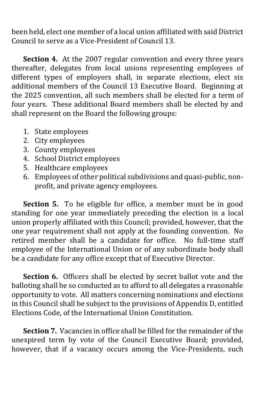been held, elect one member of a local union affiliated with said District Council to serve as a Vice-President of Council 13.

**Section 4.** At the 2007 regular convention and every three years thereafter, delegates from local unions representing employees of different types of employers shall, in separate elections, elect six additional members of the Council 13 Executive Board. Beginning at the 2025 convention, all such members shall be elected for a term of four years. These additional Board members shall be elected by and shall represent on the Board the following groups:

- 1. State employees
- 2. City employees
- 3. County employees
- 4. School District employees
- 5. Healthcare employees
- 6. Employees of other political subdivisions and quasi-public, nonprofit, and private agency employees.

**Section 5.** To be eligible for office, a member must be in good standing for one year immediately preceding the election in a local union properly affiliated with this Council; provided, however, that the one year requirement shall not apply at the founding convention. No retired member shall be a candidate for office. No full-time staff employee of the International Union or of any subordinate body shall be a candidate for any office except that of Executive Director.

**Section 6.** Officers shall be elected by secret ballot vote and the balloting shall be so conducted as to afford to all delegates a reasonable opportunity to vote. All matters concerning nominations and elections in this Council shall be subject to the provisions of Appendix D, entitled Elections Code, of the International Union Constitution.

**Section 7.** Vacancies in office shall be filled for the remainder of the unexpired term by vote of the Council Executive Board; provided, however, that if a vacancy occurs among the Vice-Presidents, such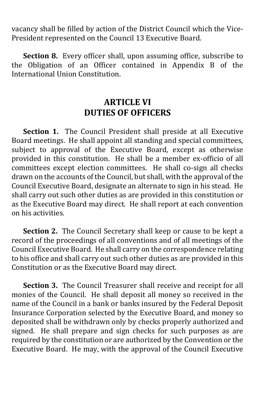vacancy shall be filled by action of the District Council which the Vice-President represented on the Council 13 Executive Board.

**Section 8.** Every officer shall, upon assuming office, subscribe to the Obligation of an Officer contained in Appendix B of the International Union Constitution.

#### **ARTICLE VI DUTIES OF OFFICERS**

**Section 1.** The Council President shall preside at all Executive Board meetings. He shall appoint all standing and special committees, subject to approval of the Executive Board, except as otherwise provided in this constitution. He shall be a member ex-officio of all committees except election committees. He shall co-sign all checks drawn on the accounts of the Council, but shall, with the approval of the Council Executive Board, designate an alternate to sign in his stead. He shall carry out such other duties as are provided in this constitution or as the Executive Board may direct. He shall report at each convention on his activities.

**Section 2.** The Council Secretary shall keep or cause to be kept a record of the proceedings of all conventions and of all meetings of the Council Executive Board. He shall carry on the correspondence relating to his office and shall carry out such other duties as are provided in this Constitution or as the Executive Board may direct.

**Section 3.** The Council Treasurer shall receive and receipt for all monies of the Council. He shall deposit all money so received in the name of the Council in a bank or banks insured by the Federal Deposit Insurance Corporation selected by the Executive Board, and money so deposited shall be withdrawn only by checks properly authorized and signed. He shall prepare and sign checks for such purposes as are required by the constitution or are authorized by the Convention or the Executive Board. He may, with the approval of the Council Executive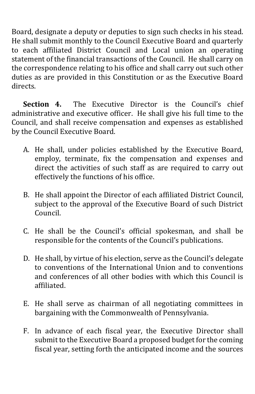Board, designate a deputy or deputies to sign such checks in his stead. He shall submit monthly to the Council Executive Board and quarterly to each affiliated District Council and Local union an operating statement of the financial transactions of the Council. He shall carry on the correspondence relating to his office and shall carry out such other duties as are provided in this Constitution or as the Executive Board directs.

**Section 4.** The Executive Director is the Council's chief administrative and executive officer. He shall give his full time to the Council, and shall receive compensation and expenses as established by the Council Executive Board.

- A. He shall, under policies established by the Executive Board, employ, terminate, fix the compensation and expenses and direct the activities of such staff as are required to carry out effectively the functions of his office.
- B. He shall appoint the Director of each affiliated District Council, subject to the approval of the Executive Board of such District Council.
- C. He shall be the Council's official spokesman, and shall be responsible for the contents of the Council's publications.
- D. He shall, by virtue of his election, serve as the Council's delegate to conventions of the International Union and to conventions and conferences of all other bodies with which this Council is affiliated.
- E. He shall serve as chairman of all negotiating committees in bargaining with the Commonwealth of Pennsylvania.
- F. In advance of each fiscal year, the Executive Director shall submit to the Executive Board a proposed budget for the coming fiscal year, setting forth the anticipated income and the sources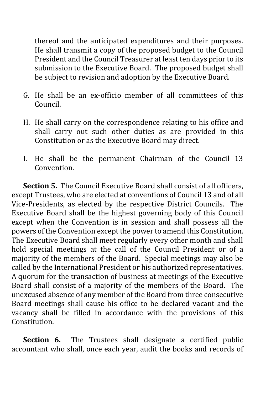thereof and the anticipated expenditures and their purposes. He shall transmit a copy of the proposed budget to the Council President and the Council Treasurer at least ten days prior to its submission to the Executive Board. The proposed budget shall be subject to revision and adoption by the Executive Board.

- G. He shall be an ex-officio member of all committees of this Council.
- H. He shall carry on the correspondence relating to his office and shall carry out such other duties as are provided in this Constitution or as the Executive Board may direct.
- I. He shall be the permanent Chairman of the Council 13 Convention.

**Section 5.** The Council Executive Board shall consist of all officers, except Trustees, who are elected at conventions of Council 13 and of all Vice-Presidents, as elected by the respective District Councils. The Executive Board shall be the highest governing body of this Council except when the Convention is in session and shall possess all the powers of the Convention except the power to amend this Constitution. The Executive Board shall meet regularly every other month and shall hold special meetings at the call of the Council President or of a majority of the members of the Board. Special meetings may also be called by the International President or his authorized representatives. A quorum for the transaction of business at meetings of the Executive Board shall consist of a majority of the members of the Board. The unexcused absence of any member of the Board from three consecutive Board meetings shall cause his office to be declared vacant and the vacancy shall be filled in accordance with the provisions of this Constitution.

**Section 6.** The Trustees shall designate a certified public accountant who shall, once each year, audit the books and records of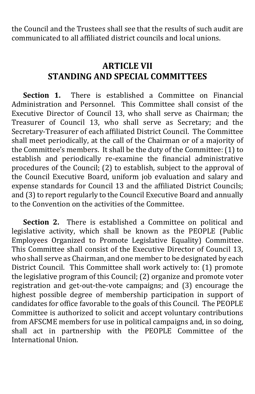the Council and the Trustees shall see that the results of such audit are communicated to all affiliated district councils and local unions.

#### **ARTICLE VII STANDING AND SPECIAL COMMITTEES**

**Section 1.** There is established a Committee on Financial Administration and Personnel. This Committee shall consist of the Executive Director of Council 13, who shall serve as Chairman; the Treasurer of Council 13, who shall serve as Secretary; and the Secretary-Treasurer of each affiliated District Council. The Committee shall meet periodically, at the call of the Chairman or of a majority of the Committee's members. It shall be the duty of the Committee: (1) to establish and periodically re-examine the financial administrative procedures of the Council; (2) to establish, subject to the approval of the Council Executive Board, uniform job evaluation and salary and expense standards for Council 13 and the affiliated District Councils; and (3) to report regularly to the Council Executive Board and annually to the Convention on the activities of the Committee.

**Section 2.** There is established a Committee on political and legislative activity, which shall be known as the PEOPLE (Public Employees Organized to Promote Legislative Equality) Committee. This Committee shall consist of the Executive Director of Council 13, who shall serve as Chairman, and one member to be designated by each District Council. This Committee shall work actively to: (1) promote the legislative program of this Council; (2) organize and promote voter registration and get-out-the-vote campaigns; and (3) encourage the highest possible degree of membership participation in support of candidates for office favorable to the goals of this Council. The PEOPLE Committee is authorized to solicit and accept voluntary contributions from AFSCME members for use in political campaigns and, in so doing, shall act in partnership with the PEOPLE Committee of the International Union.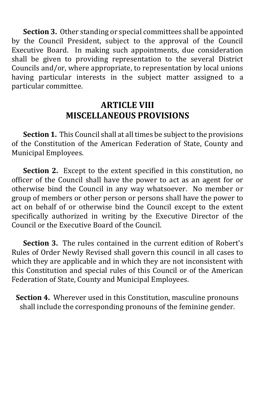**Section 3.** Other standing or special committees shall be appointed by the Council President, subject to the approval of the Council Executive Board. In making such appointments, due consideration shall be given to providing representation to the several District Councils and/or, where appropriate, to representation by local unions having particular interests in the subject matter assigned to a particular committee.

#### **ARTICLE VIII MISCELLANEOUS PROVISIONS**

**Section 1.** This Council shall at all times be subject to the provisions of the Constitution of the American Federation of State, County and Municipal Employees.

**Section 2.** Except to the extent specified in this constitution, no officer of the Council shall have the power to act as an agent for or otherwise bind the Council in any way whatsoever. No member or group of members or other person or persons shall have the power to act on behalf of or otherwise bind the Council except to the extent specifically authorized in writing by the Executive Director of the Council or the Executive Board of the Council.

**Section 3.** The rules contained in the current edition of Robert's Rules of Order Newly Revised shall govern this council in all cases to which they are applicable and in which they are not inconsistent with this Constitution and special rules of this Council or of the American Federation of State, County and Municipal Employees.

**Section 4.** Wherever used in this Constitution, masculine pronouns shall include the corresponding pronouns of the feminine gender.